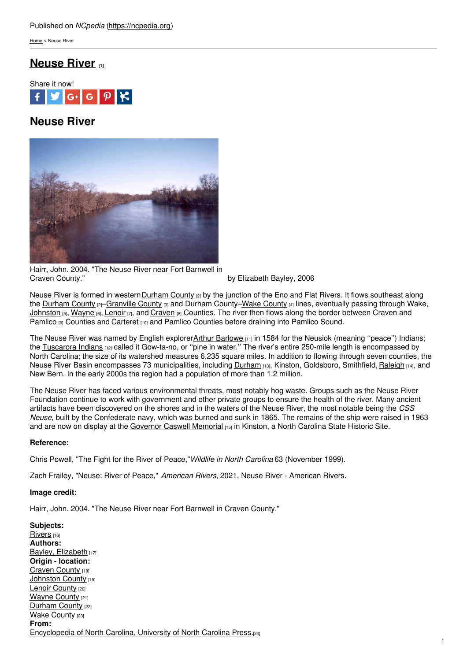[Home](https://ncpedia.org/) > Neuse River

# **[Neuse](https://ncpedia.org/rivers/neuse) River [1]**



# **Neuse River**



Hairr, John. 2004. "The Neuse River near Fort Barnwell in

by Elizabeth Bayley, 2006

Neuse River is formed in western [Durham](https://ncpedia.org/geography/durham) County  $_{[2]}$  by the junction of the Eno and Flat Rivers. It flows southeast along the [Durham](https://ncpedia.org/geography/durham) County [2][–Granville](https://ncpedia.org/geography/granville) [County](https://ncpedia.org/geography/wake) [3] and Durham County–Wake County [4] lines, eventually passing through Wake, [Johnston](https://ncpedia.org/geography/johnston)  $[5]$ , [Wayne](https://ncpedia.org/geography/wayne)  $[6]$ , [Lenoir](https://ncpedia.org/geography/lenoir)  $[7]$ , and [Craven](https://ncpedia.org/geography/craven)  $[8]$  Counties. The river then flows along the border between Craven and [Pamlico](https://ncpedia.org/geography/pamlico) [9] Counties and [Carteret](https://ncpedia.org/geography/carteret) [10] and Pamlico Counties before draining into Pamlico Sound.

The Neuse River was named by English explorerArthur [Barlowe](https://docsouth.unc.edu/nc/barlowe/bio.html) [11] in 1584 for the Neusiok (meaning "peace") Indians; the [Tuscarora](https://ncpedia.org/american-indians/tuscarora) Indians [12] called it Gow-ta-no, or "pine in water." The river's entire 250-mile length is encompassed by North Carolina; the size of its watershed measures 6,235 square miles. In addition to flowing through seven counties, the Neuse River Basin encompasses 73 municipalities, including [Durham](https://ncpedia.org/geography/durham-city) [13], Kinston, Goldsboro, Smithfield, [Raleigh](https://ncpedia.org/geography/raleigh) [14], and New Bern. In the early 2000s the region had a population of more than 1.2 million.

The Neuse River has faced various environmental threats, most notably hog waste. Groups such as the Neuse River Foundation continue to work with government and other private groups to ensure the health of the river. Many ancient artifacts have been discovered on the shores and in the waters of the Neuse River, the most notable being the *CSS Neuse*, built by the Confederate navy, which was burned and sunk in 1865. The remains of the ship were raised in 1963 and are now on display at the [Governor](http://www.nchistoricsites.org/neuse/neuse.htm) Caswell Memorial [15] in Kinston, a North Carolina State Historic Site.

### **Reference:**

Chris Powell, "The Fight for the River of Peace,"*Wildlife in North Carolina* 63 (November 1999).

Zach Frailey, "Neuse: River of Peace," *American Rivers,* 2021, Neuse River - American Rivers.

### **Image credit:**

Hairr, John. 2004. "The Neuse River near Fort Barnwell in Craven County."

**Subjects:** [Rivers](https://ncpedia.org/category/subjects/rivers) [16] **Authors:** Bayley, [Elizabeth](https://ncpedia.org/category/authors/bayley-elizabeth) [17] **Origin - location:** [Craven](https://ncpedia.org/category/origin-location/coastal-16) County [18] [Johnston](https://ncpedia.org/category/origin-location/coastal-11) County [19] Lenoir [County](https://ncpedia.org/category/origin-location/coastal-13) [20] [Wayne](https://ncpedia.org/category/origin-location/coastal-12) County [21] [Durham](https://ncpedia.org/category/origin-location/piedmont/d) County [22] Wake [County](https://ncpedia.org/category/origin-location/piedmont/w) [23] **From:** [Encyclopedia](https://ncpedia.org/category/entry-source/encyclopedia-) of North Carolina, University of North Carolina Press.[24]